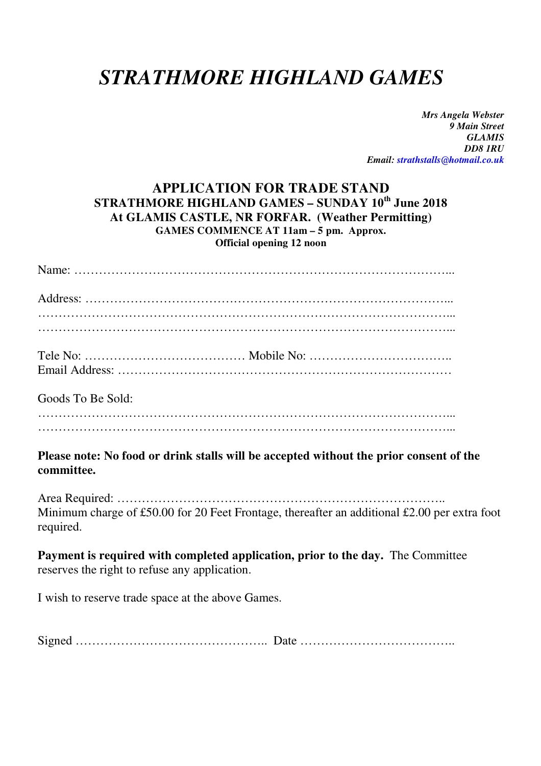# *STRATHMORE HIGHLAND GAMES*

*Mrs Angela Webster 9 Main Street GLAMIS DD8 1RU Email: strathstalls@hotmail.co.uk* 

#### **APPLICATION FOR TRADE STAND STRATHMORE HIGHLAND GAMES – SUNDAY 10th June 2018 At GLAMIS CASTLE, NR FORFAR. (Weather Permitting) GAMES COMMENCE AT 11am – 5 pm. Approx. Official opening 12 noon**

| Goods To Be Sold: |  |
|-------------------|--|
|                   |  |

#### **Please note: No food or drink stalls will be accepted without the prior consent of the committee.**

Area Required: …………………………………………………………………….. Minimum charge of £50.00 for 20 Feet Frontage, thereafter an additional £2.00 per extra foot required.

**Payment is required with completed application, prior to the day.** The Committee reserves the right to refuse any application.

I wish to reserve trade space at the above Games.

Signed ……………………………………….. Date ………………………………..